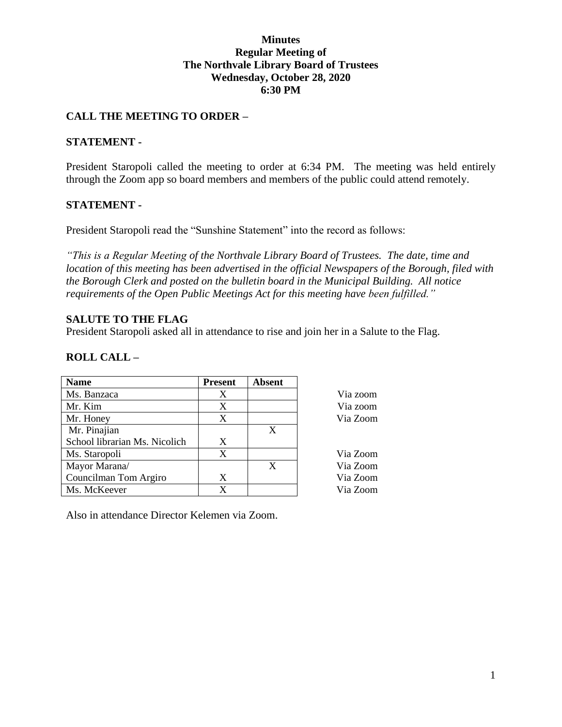## **Minutes Regular Meeting of The Northvale Library Board of Trustees Wednesday, October 28, 2020 6:30 PM**

# **CALL THE MEETING TO ORDER –**

## **STATEMENT -**

President Staropoli called the meeting to order at 6:34 PM. The meeting was held entirely through the Zoom app so board members and members of the public could attend remotely.

## **STATEMENT -**

President Staropoli read the "Sunshine Statement" into the record as follows:

*"This is a Regular Meeting of the Northvale Library Board of Trustees. The date, time and location of this meeting has been advertised in the official Newspapers of the Borough, filed with the Borough Clerk and posted on the bulletin board in the Municipal Building. All notice requirements of the Open Public Meetings Act for this meeting have been fulfilled."* 

## **SALUTE TO THE FLAG**

President Staropoli asked all in attendance to rise and join her in a Salute to the Flag.

# **ROLL CALL –**

| <b>Name</b>                   | <b>Present</b> | <b>Absent</b> |          |
|-------------------------------|----------------|---------------|----------|
| Ms. Banzaca                   | Χ              |               | Via zoom |
| Mr. Kim                       | X              |               | Via zoom |
| Mr. Honey                     | X              |               | Via Zoom |
| Mr. Pinajian                  |                | X             |          |
| School librarian Ms. Nicolich | X              |               |          |
| Ms. Staropoli                 | X              |               | Via Zoom |
| Mayor Marana/                 |                | X             | Via Zoom |
| Councilman Tom Argiro         | X              |               | Via Zoom |
| Ms. McKeever                  | X              |               | Via Zoom |

Also in attendance Director Kelemen via Zoom.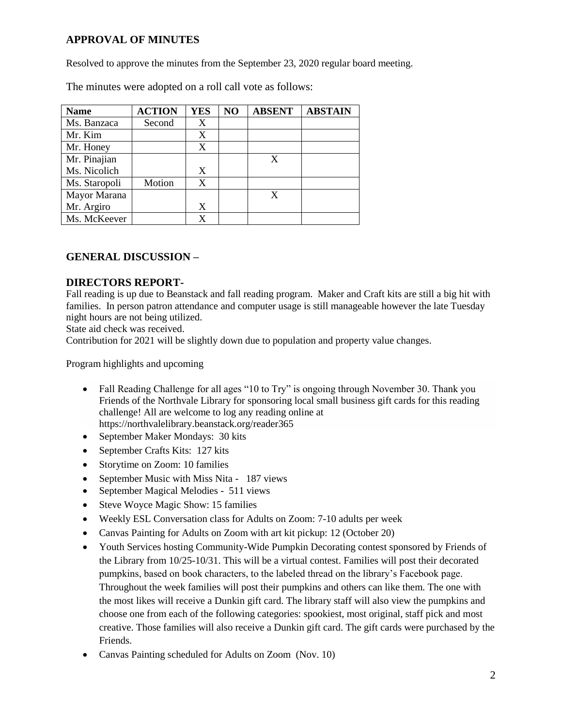# **APPROVAL OF MINUTES**

Resolved to approve the minutes from the September 23, 2020 regular board meeting.

| <b>Name</b>   | <b>ACTION</b> | <b>YES</b> | NO | <b>ABSENT</b> | <b>ABSTAIN</b> |
|---------------|---------------|------------|----|---------------|----------------|
| Ms. Banzaca   | Second        | X          |    |               |                |
| Mr. Kim       |               | X          |    |               |                |
| Mr. Honey     |               | X          |    |               |                |
| Mr. Pinajian  |               |            |    | X             |                |
| Ms. Nicolich  |               | X          |    |               |                |
| Ms. Staropoli | Motion        | X          |    |               |                |
| Mayor Marana  |               |            |    |               |                |
| Mr. Argiro    |               | X          |    |               |                |
| Ms. McKeever  |               | X          |    |               |                |

The minutes were adopted on a roll call vote as follows:

# **GENERAL DISCUSSION –**

## **DIRECTORS REPORT-**

Fall reading is up due to Beanstack and fall reading program. Maker and Craft kits are still a big hit with families. In person patron attendance and computer usage is still manageable however the late Tuesday night hours are not being utilized.

State aid check was received.

Contribution for 2021 will be slightly down due to population and property value changes.

Program highlights and upcoming

- Fall Reading Challenge for all ages "10 to Try" is ongoing through November 30. Thank you Friends of the Northvale Library for sponsoring local small business gift cards for this reading challenge! All are welcome to log any reading online at <https://northvalelibrary.beanstack.org/reader365>
- September Maker Mondays: 30 kits
- September Crafts Kits: 127 kits
- Storytime on Zoom: 10 families
- September Music with Miss Nita 187 views
- September Magical Melodies 511 views
- Steve Woyce Magic Show: 15 families
- Weekly ESL Conversation class for Adults on Zoom: 7-10 adults per week
- Canvas Painting for Adults on Zoom with art kit pickup: 12 (October 20)
- Youth Services hosting Community-Wide Pumpkin Decorating contest sponsored by Friends of the Library from 10/25-10/31. This will be a virtual contest. Families will post their decorated pumpkins, based on book characters, to the labeled thread on the library's Facebook page. Throughout the week families will post their pumpkins and others can like them. The one with the most likes will receive a Dunkin gift card. The library staff will also view the pumpkins and choose one from each of the following categories: spookiest, most original, staff pick and most creative. Those families will also receive a Dunkin gift card. The gift cards were purchased by the Friends.
- Canvas Painting scheduled for Adults on Zoom (Nov. 10)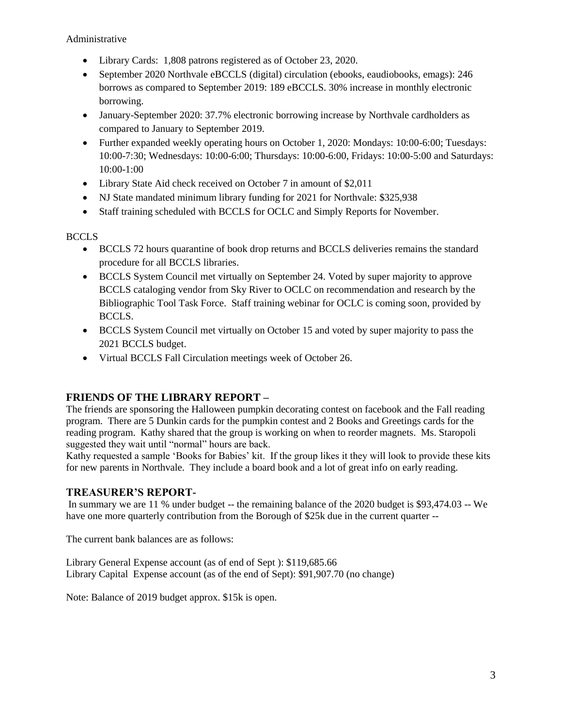Administrative

- Library Cards: 1,808 patrons registered as of October 23, 2020.
- September 2020 Northvale eBCCLS (digital) circulation (ebooks, eaudiobooks, emags): 246 borrows as compared to September 2019: 189 eBCCLS. 30% increase in monthly electronic borrowing.
- January-September 2020: 37.7% electronic borrowing increase by Northvale cardholders as compared to January to September 2019.
- Further expanded weekly operating hours on October 1, 2020: Mondays: 10:00-6:00; Tuesdays: 10:00-7:30; Wednesdays: 10:00-6:00; Thursdays: 10:00-6:00, Fridays: 10:00-5:00 and Saturdays: 10:00-1:00
- Library State Aid check received on October 7 in amount of \$2,011
- NJ State mandated minimum library funding for 2021 for Northvale: \$325,938
- Staff training scheduled with BCCLS for OCLC and Simply Reports for November.

BCCLS

- BCCLS 72 hours quarantine of book drop returns and BCCLS deliveries remains the standard procedure for all BCCLS libraries.
- BCCLS System Council met virtually on September 24. Voted by super majority to approve BCCLS cataloging vendor from Sky River to OCLC on recommendation and research by the Bibliographic Tool Task Force. Staff training webinar for OCLC is coming soon, provided by BCCLS.
- BCCLS System Council met virtually on October 15 and voted by super majority to pass the 2021 BCCLS budget.
- Virtual BCCLS Fall Circulation meetings week of October 26.

# **FRIENDS OF THE LIBRARY REPORT –**

The friends are sponsoring the Halloween pumpkin decorating contest on facebook and the Fall reading program. There are 5 Dunkin cards for the pumpkin contest and 2 Books and Greetings cards for the reading program. Kathy shared that the group is working on when to reorder magnets. Ms. Staropoli suggested they wait until "normal" hours are back.

Kathy requested a sample 'Books for Babies' kit. If the group likes it they will look to provide these kits for new parents in Northvale. They include a board book and a lot of great info on early reading.

#### **TREASURER'S REPORT-**

In summary we are 11 % under budget -- the remaining balance of the 2020 budget is \$93,474.03 -- We have one more quarterly contribution from the Borough of \$25k due in the current quarter --

The current bank balances are as follows:

Library General Expense account (as of end of Sept ): \$119,685.66 Library Capital Expense account (as of the end of Sept): \$91,907.70 (no change)

Note: Balance of 2019 budget approx. \$15k is open.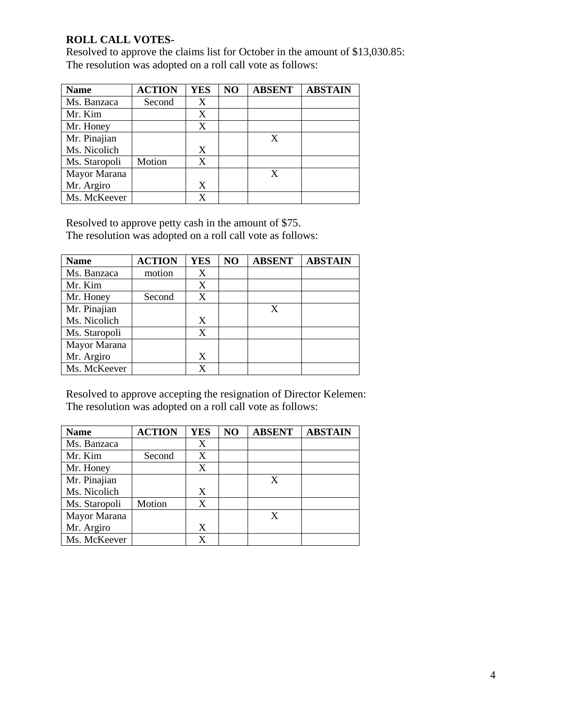# **ROLL CALL VOTES-**

Resolved to approve the claims list for October in the amount of \$13,030.85: The resolution was adopted on a roll call vote as follows:

| <b>Name</b>   | <b>ACTION</b> | <b>YES</b> | NO | <b>ABSENT</b> | <b>ABSTAIN</b> |
|---------------|---------------|------------|----|---------------|----------------|
| Ms. Banzaca   | Second        | X          |    |               |                |
| Mr. Kim       |               | X          |    |               |                |
| Mr. Honey     |               | X          |    |               |                |
| Mr. Pinajian  |               |            |    | X             |                |
| Ms. Nicolich  |               | X          |    |               |                |
| Ms. Staropoli | Motion        | X          |    |               |                |
| Mayor Marana  |               |            |    |               |                |
| Mr. Argiro    |               | X          |    |               |                |
| Ms. McKeever  |               | X          |    |               |                |

Resolved to approve petty cash in the amount of \$75.

The resolution was adopted on a roll call vote as follows:

| <b>Name</b>   | <b>ACTION</b> | <b>YES</b> | NO | <b>ABSENT</b> | <b>ABSTAIN</b> |
|---------------|---------------|------------|----|---------------|----------------|
| Ms. Banzaca   | motion        | X          |    |               |                |
| Mr. Kim       |               | X          |    |               |                |
| Mr. Honey     | Second        | X          |    |               |                |
| Mr. Pinajian  |               |            |    | X             |                |
| Ms. Nicolich  |               | X          |    |               |                |
| Ms. Staropoli |               | X          |    |               |                |
| Mayor Marana  |               |            |    |               |                |
| Mr. Argiro    |               | X          |    |               |                |
| Ms. McKeever  |               | X          |    |               |                |

Resolved to approve accepting the resignation of Director Kelemen: The resolution was adopted on a roll call vote as follows:

| <b>Name</b>   | <b>ACTION</b> | <b>YES</b> | NO | <b>ABSENT</b> | <b>ABSTAIN</b> |
|---------------|---------------|------------|----|---------------|----------------|
| Ms. Banzaca   |               | X          |    |               |                |
| Mr. Kim       | Second        | X          |    |               |                |
| Mr. Honey     |               | X          |    |               |                |
| Mr. Pinajian  |               |            |    | X             |                |
| Ms. Nicolich  |               | X          |    |               |                |
| Ms. Staropoli | Motion        | X          |    |               |                |
| Mayor Marana  |               |            |    | X             |                |
| Mr. Argiro    |               | X          |    |               |                |
| Ms. McKeever  |               |            |    |               |                |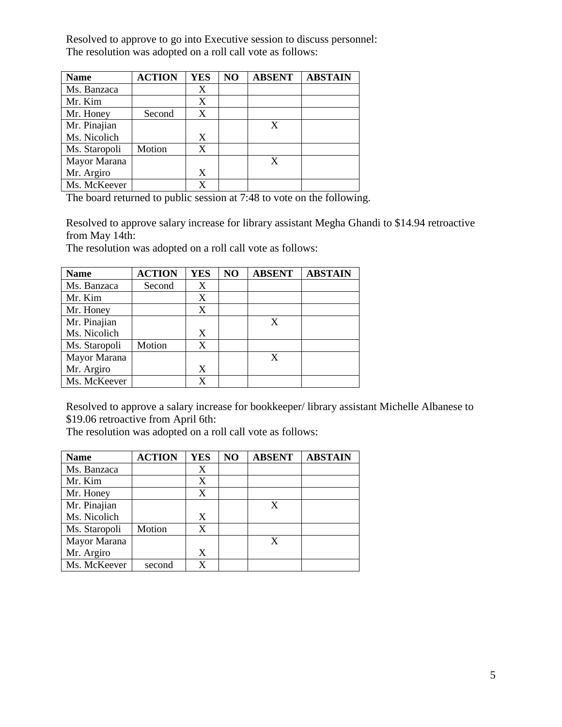Resolved to approve to go into Executive session to discuss personnel: The resolution was adopted on a roll call vote as follows:

| <b>Name</b>   | <b>ACTION</b> | <b>YES</b> | NO | <b>ABSENT</b> | <b>ABSTAIN</b> |
|---------------|---------------|------------|----|---------------|----------------|
| Ms. Banzaca   |               | X          |    |               |                |
| Mr. Kim       |               | X          |    |               |                |
| Mr. Honey     | Second        | X          |    |               |                |
| Mr. Pinajian  |               |            |    | X             |                |
| Ms. Nicolich  |               | X          |    |               |                |
| Ms. Staropoli | Motion        | X          |    |               |                |
| Mayor Marana  |               |            |    | X             |                |
| Mr. Argiro    |               | X          |    |               |                |
| Ms. McKeever  |               |            |    |               |                |

The board returned to public session at 7:48 to vote on the following.

Resolved to approve salary increase for library assistant Megha Ghandi to \$14.94 retroactive from May 14th:

The resolution was adopted on a roll call vote as follows:

| <b>Name</b>   | <b>ACTION</b> | <b>YES</b> | NO | <b>ABSENT</b> | <b>ABSTAIN</b> |
|---------------|---------------|------------|----|---------------|----------------|
| Ms. Banzaca   | Second        | X          |    |               |                |
| Mr. Kim       |               | X          |    |               |                |
| Mr. Honey     |               | X          |    |               |                |
| Mr. Pinajian  |               |            |    | X             |                |
| Ms. Nicolich  |               | X          |    |               |                |
| Ms. Staropoli | Motion        | X          |    |               |                |
| Mayor Marana  |               |            |    | X             |                |
| Mr. Argiro    |               | X          |    |               |                |
| Ms. McKeever  |               | X          |    |               |                |

Resolved to approve a salary increase for bookkeeper/ library assistant Michelle Albanese to \$19.06 retroactive from April 6th:

The resolution was adopted on a roll call vote as follows:

| <b>Name</b>   | <b>ACTION</b> | <b>YES</b> | NO | <b>ABSENT</b> | <b>ABSTAIN</b> |
|---------------|---------------|------------|----|---------------|----------------|
| Ms. Banzaca   |               | X          |    |               |                |
| Mr. Kim       |               | X          |    |               |                |
| Mr. Honey     |               | X          |    |               |                |
| Mr. Pinajian  |               |            |    | X             |                |
| Ms. Nicolich  |               | X          |    |               |                |
| Ms. Staropoli | Motion        | X          |    |               |                |
| Mayor Marana  |               |            |    |               |                |
| Mr. Argiro    |               | X          |    |               |                |
| Ms. McKeever  | second        | X          |    |               |                |